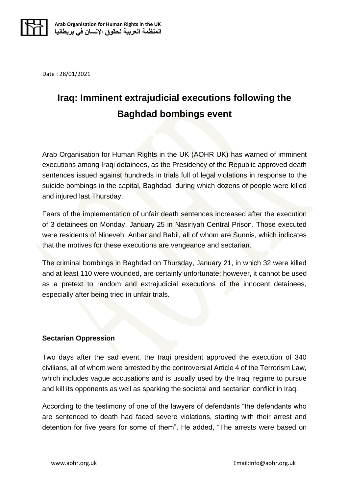

Date : 28/01/2021

## **Iraq: Imminent extrajudicial executions following the Baghdad bombings event**

Arab Organisation for Human Rights in the UK (AOHR UK) has warned of imminent executions among Iraqi detainees, as the Presidency of the Republic approved death sentences issued against hundreds in trials full of legal violations in response to the suicide bombings in the capital, Baghdad, during which dozens of people were killed and injured last Thursday.

Fears of the implementation of unfair death sentences increased after the execution of 3 detainees on Monday, January 25 in Nasiriyah Central Prison. Those executed were residents of Nineveh, Anbar and Babil, all of whom are Sunnis, which indicates that the motives for these executions are vengeance and sectarian.

The criminal bombings in Baghdad on Thursday, January 21, in which 32 were killed and at least 110 were wounded, are certainly unfortunate; however, it cannot be used as a pretext to random and extrajudicial executions of the innocent detainees, especially after being tried in unfair trials.

## **Sectarian Oppression**

Two days after the sad event, the Iraqi president approved the execution of 340 civilians, all of whom were arrested by the controversial Article 4 of the Terrorism Law, which includes vague accusations and is usually used by the Iraqi regime to pursue and kill its opponents as well as sparking the societal and sectarian conflict in Iraq.

According to the testimony of one of the lawyers of defendants "the defendants who are sentenced to death had faced severe violations, starting with their arrest and detention for five years for some of them". He added, "The arrests were based on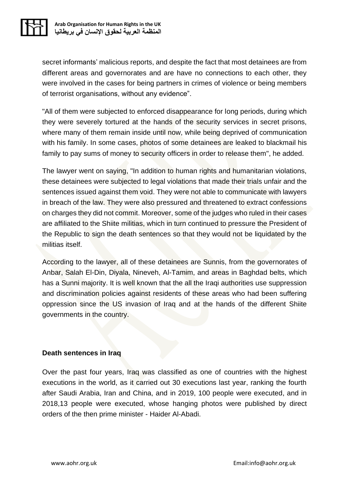

secret informants' malicious reports, and despite the fact that most detainees are from different areas and governorates and are have no connections to each other, they were involved in the cases for being partners in crimes of violence or being members of terrorist organisations, without any evidence".

"All of them were subjected to enforced disappearance for long periods, during which they were severely tortured at the hands of the security services in secret prisons, where many of them remain inside until now, while being deprived of communication with his family. In some cases, photos of some detainees are leaked to blackmail his family to pay sums of money to security officers in order to release them", he added.

The lawyer went on saying, "In addition to human rights and humanitarian violations, these detainees were subjected to legal violations that made their trials unfair and the sentences issued against them void. They were not able to communicate with lawyers in breach of the law. They were also pressured and threatened to extract confessions on charges they did not commit. Moreover, some of the judges who ruled in their cases are affiliated to the Shiite militias, which in turn continued to pressure the President of the Republic to sign the death sentences so that they would not be liquidated by the militias itself.

According to the lawyer, all of these detainees are Sunnis, from the governorates of Anbar, Salah El-Din, Diyala, Nineveh, Al-Tamim, and areas in Baghdad belts, which has a Sunni majority. It is well known that the all the Iraqi authorities use suppression and discrimination policies against residents of these areas who had been suffering oppression since the US invasion of Iraq and at the hands of the different Shiite governments in the country.

## **Death sentences in Iraq**

Over the past four years, Iraq was classified as one of countries with the highest executions in the world, as it carried out 30 executions last year, ranking the fourth after Saudi Arabia, Iran and China, and in 2019, 100 people were executed, and in 2018,13 people were executed, whose hanging photos were published by direct orders of the then prime minister - Haider Al-Abadi .